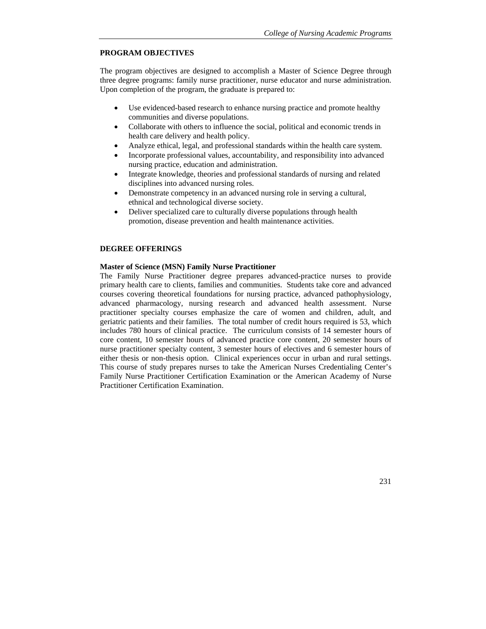# **PROGRAM OBJECTIVES**

The program objectives are designed to accomplish a Master of Science Degree through three degree programs: family nurse practitioner, nurse educator and nurse administration. Upon completion of the program, the graduate is prepared to:

- Use evidenced-based research to enhance nursing practice and promote healthy communities and diverse populations.
- Collaborate with others to influence the social, political and economic trends in health care delivery and health policy.
- Analyze ethical, legal, and professional standards within the health care system.
- Incorporate professional values, accountability, and responsibility into advanced nursing practice, education and administration.
- Integrate knowledge, theories and professional standards of nursing and related disciplines into advanced nursing roles.
- Demonstrate competency in an advanced nursing role in serving a cultural, ethnical and technological diverse society.
- Deliver specialized care to culturally diverse populations through health promotion, disease prevention and health maintenance activities.

# **DEGREE OFFERINGS**

# **Master of Science (MSN) Family Nurse Practitioner**

The Family Nurse Practitioner degree prepares advanced-practice nurses to provide primary health care to clients, families and communities. Students take core and advanced courses covering theoretical foundations for nursing practice, advanced pathophysiology, advanced pharmacology, nursing research and advanced health assessment. Nurse practitioner specialty courses emphasize the care of women and children, adult, and geriatric patients and their families. The total number of credit hours required is 53, which includes 780 hours of clinical practice. The curriculum consists of 14 semester hours of core content, 10 semester hours of advanced practice core content, 20 semester hours of nurse practitioner specialty content, 3 semester hours of electives and 6 semester hours of either thesis or non-thesis option. Clinical experiences occur in urban and rural settings. This course of study prepares nurses to take the American Nurses Credentialing Center's Family Nurse Practitioner Certification Examination or the American Academy of Nurse Practitioner Certification Examination.

231